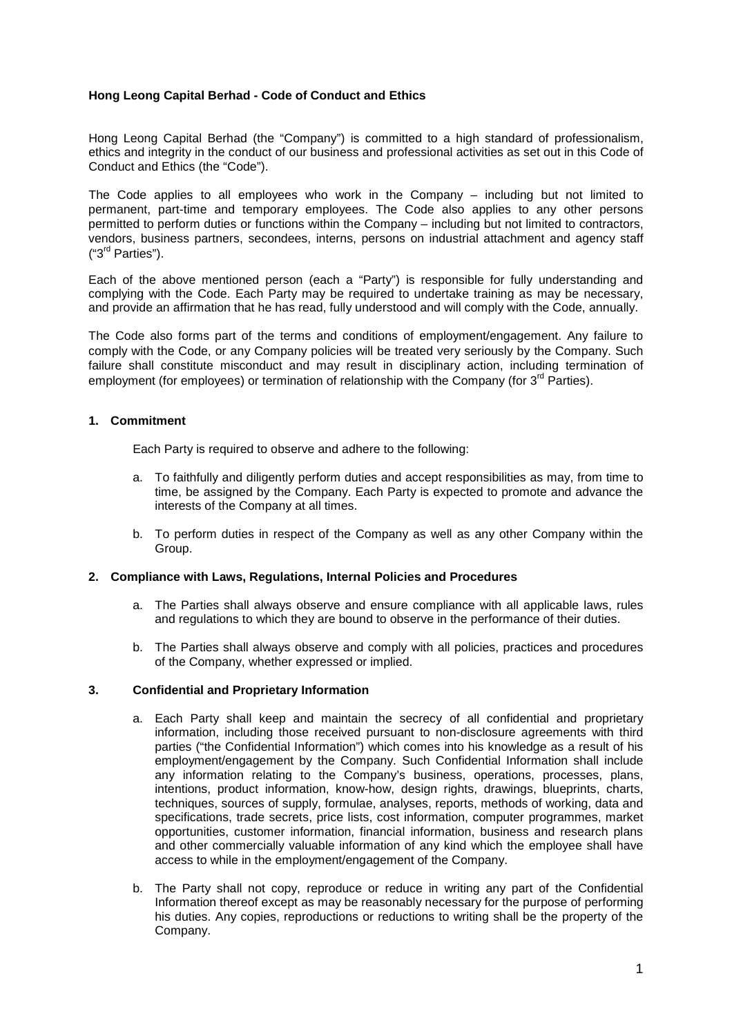### **Hong Leong Capital Berhad - Code of Conduct and Ethics**

Hong Leong Capital Berhad (the "Company") is committed to a high standard of professionalism, ethics and integrity in the conduct of our business and professional activities as set out in this Code of Conduct and Ethics (the "Code").

The Code applies to all employees who work in the Company – including but not limited to permanent, part-time and temporary employees. The Code also applies to any other persons permitted to perform duties or functions within the Company – including but not limited to contractors, vendors, business partners, secondees, interns, persons on industrial attachment and agency staff  $('3<sup>rd</sup> Parties").$ 

Each of the above mentioned person (each a "Party") is responsible for fully understanding and complying with the Code. Each Party may be required to undertake training as may be necessary, and provide an affirmation that he has read, fully understood and will comply with the Code, annually.

The Code also forms part of the terms and conditions of employment/engagement. Any failure to comply with the Code, or any Company policies will be treated very seriously by the Company. Such failure shall constitute misconduct and may result in disciplinary action, including termination of employment (for employees) or termination of relationship with the Company (for 3<sup>rd</sup> Parties).

### **1. Commitment**

Each Party is required to observe and adhere to the following:

- a. To faithfully and diligently perform duties and accept responsibilities as may, from time to time, be assigned by the Company. Each Party is expected to promote and advance the interests of the Company at all times.
- b. To perform duties in respect of the Company as well as any other Company within the Group.

#### **2. Compliance with Laws, Regulations, Internal Policies and Procedures**

- a. The Parties shall always observe and ensure compliance with all applicable laws, rules and regulations to which they are bound to observe in the performance of their duties.
- b. The Parties shall always observe and comply with all policies, practices and procedures of the Company, whether expressed or implied.

### **3. Confidential and Proprietary Information**

- a. Each Party shall keep and maintain the secrecy of all confidential and proprietary information, including those received pursuant to non-disclosure agreements with third parties ("the Confidential Information") which comes into his knowledge as a result of his employment/engagement by the Company. Such Confidential Information shall include any information relating to the Company's business, operations, processes, plans, intentions, product information, know-how, design rights, drawings, blueprints, charts, techniques, sources of supply, formulae, analyses, reports, methods of working, data and specifications, trade secrets, price lists, cost information, computer programmes, market opportunities, customer information, financial information, business and research plans and other commercially valuable information of any kind which the employee shall have access to while in the employment/engagement of the Company.
- b. The Party shall not copy, reproduce or reduce in writing any part of the Confidential Information thereof except as may be reasonably necessary for the purpose of performing his duties. Any copies, reproductions or reductions to writing shall be the property of the Company.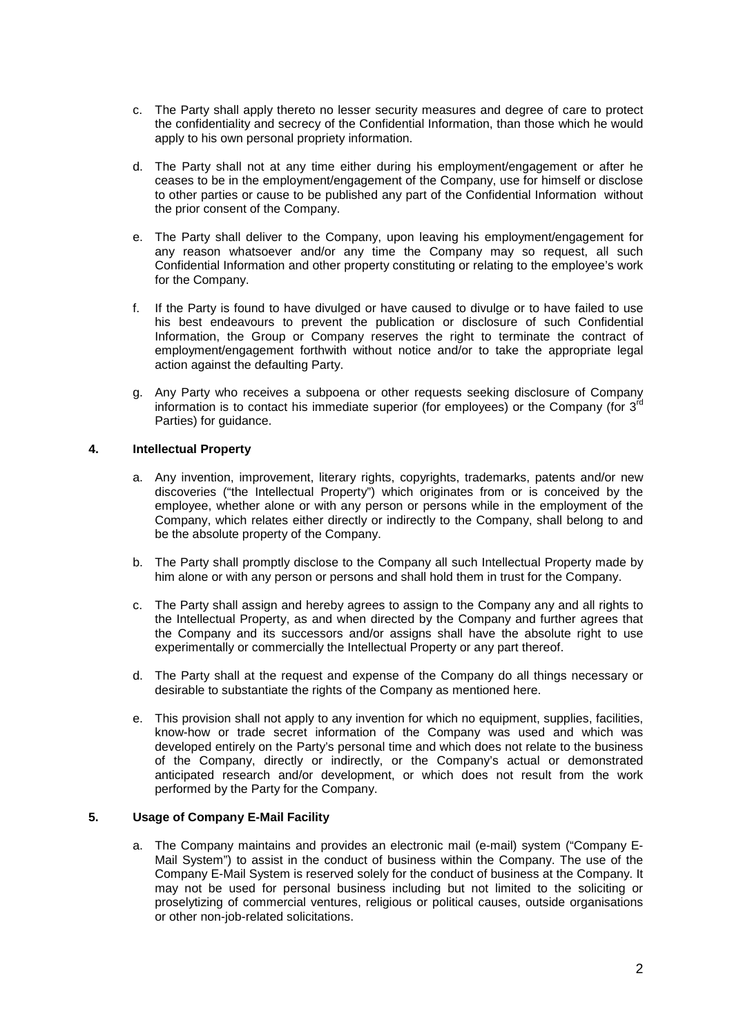- c. The Party shall apply thereto no lesser security measures and degree of care to protect the confidentiality and secrecy of the Confidential Information, than those which he would apply to his own personal propriety information.
- d. The Party shall not at any time either during his employment/engagement or after he ceases to be in the employment/engagement of the Company, use for himself or disclose to other parties or cause to be published any part of the Confidential Information without the prior consent of the Company.
- e. The Party shall deliver to the Company, upon leaving his employment/engagement for any reason whatsoever and/or any time the Company may so request, all such Confidential Information and other property constituting or relating to the employee's work for the Company.
- f. If the Party is found to have divulged or have caused to divulge or to have failed to use his best endeavours to prevent the publication or disclosure of such Confidential Information, the Group or Company reserves the right to terminate the contract of employment/engagement forthwith without notice and/or to take the appropriate legal action against the defaulting Party.
- g. Any Party who receives a subpoena or other requests seeking disclosure of Company information is to contact his immediate superior (for employees) or the Company (for  $3^{rd}$ Parties) for guidance.

### **4. Intellectual Property**

- a. Any invention, improvement, literary rights, copyrights, trademarks, patents and/or new discoveries ("the Intellectual Property") which originates from or is conceived by the employee, whether alone or with any person or persons while in the employment of the Company, which relates either directly or indirectly to the Company, shall belong to and be the absolute property of the Company.
- b. The Party shall promptly disclose to the Company all such Intellectual Property made by him alone or with any person or persons and shall hold them in trust for the Company.
- c. The Party shall assign and hereby agrees to assign to the Company any and all rights to the Intellectual Property, as and when directed by the Company and further agrees that the Company and its successors and/or assigns shall have the absolute right to use experimentally or commercially the Intellectual Property or any part thereof.
- d. The Party shall at the request and expense of the Company do all things necessary or desirable to substantiate the rights of the Company as mentioned here.
- e. This provision shall not apply to any invention for which no equipment, supplies, facilities, know-how or trade secret information of the Company was used and which was developed entirely on the Party's personal time and which does not relate to the business of the Company, directly or indirectly, or the Company's actual or demonstrated anticipated research and/or development, or which does not result from the work performed by the Party for the Company.

# **5. Usage of Company E-Mail Facility**

a. The Company maintains and provides an electronic mail (e-mail) system ("Company E-Mail System") to assist in the conduct of business within the Company. The use of the Company E-Mail System is reserved solely for the conduct of business at the Company. It may not be used for personal business including but not limited to the soliciting or proselytizing of commercial ventures, religious or political causes, outside organisations or other non-job-related solicitations.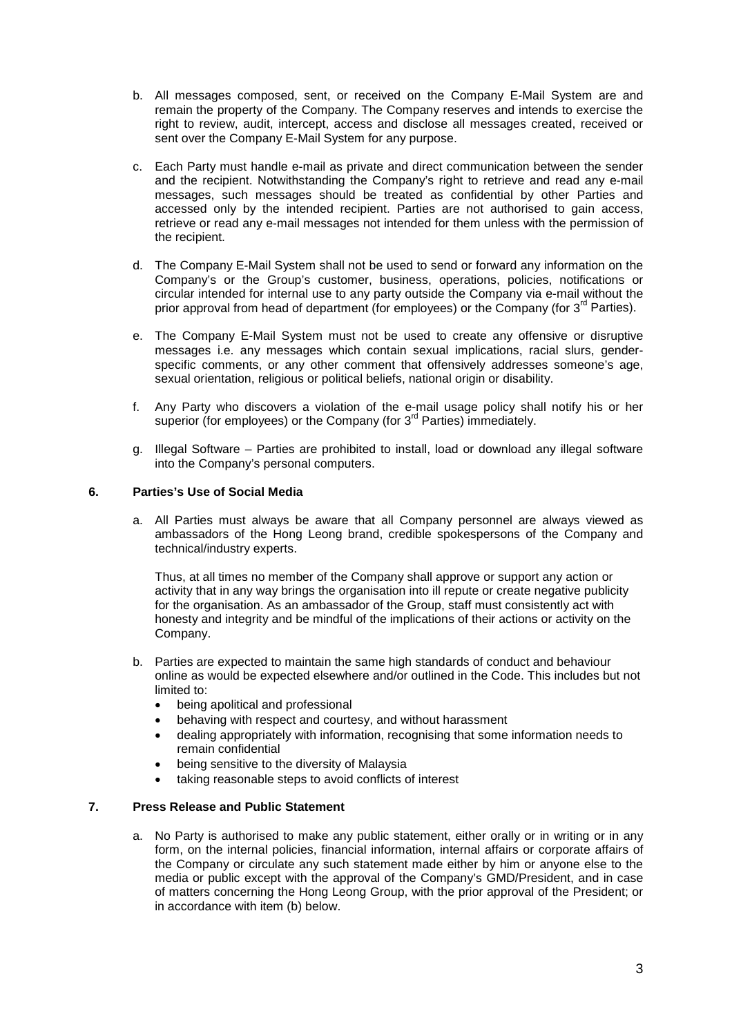- b. All messages composed, sent, or received on the Company E-Mail System are and remain the property of the Company. The Company reserves and intends to exercise the right to review, audit, intercept, access and disclose all messages created, received or sent over the Company E-Mail System for any purpose.
- c. Each Party must handle e-mail as private and direct communication between the sender and the recipient. Notwithstanding the Company's right to retrieve and read any e-mail messages, such messages should be treated as confidential by other Parties and accessed only by the intended recipient. Parties are not authorised to gain access, retrieve or read any e-mail messages not intended for them unless with the permission of the recipient.
- d. The Company E-Mail System shall not be used to send or forward any information on the Company's or the Group's customer, business, operations, policies, notifications or circular intended for internal use to any party outside the Company via e-mail without the prior approval from head of department (for employees) or the Company (for  $3<sup>rd</sup>$  Parties).
- e. The Company E-Mail System must not be used to create any offensive or disruptive messages i.e. any messages which contain sexual implications, racial slurs, genderspecific comments, or any other comment that offensively addresses someone's age, sexual orientation, religious or political beliefs, national origin or disability.
- f. Any Party who discovers a violation of the e-mail usage policy shall notify his or her superior (for employees) or the Company (for 3<sup>rd</sup> Parties) immediately.
- g. Illegal Software Parties are prohibited to install, load or download any illegal software into the Company's personal computers.

### **6. Parties's Use of Social Media**

a. All Parties must always be aware that all Company personnel are always viewed as ambassadors of the Hong Leong brand, credible spokespersons of the Company and technical/industry experts.

Thus, at all times no member of the Company shall approve or support any action or activity that in any way brings the organisation into ill repute or create negative publicity for the organisation. As an ambassador of the Group, staff must consistently act with honesty and integrity and be mindful of the implications of their actions or activity on the Company.

- b. Parties are expected to maintain the same high standards of conduct and behaviour online as would be expected elsewhere and/or outlined in the Code. This includes but not limited to:
	- being apolitical and professional
	- behaving with respect and courtesy, and without harassment
	- dealing appropriately with information, recognising that some information needs to remain confidential
	- being sensitive to the diversity of Malaysia
	- taking reasonable steps to avoid conflicts of interest

# **7. Press Release and Public Statement**

a. No Party is authorised to make any public statement, either orally or in writing or in any form, on the internal policies, financial information, internal affairs or corporate affairs of the Company or circulate any such statement made either by him or anyone else to the media or public except with the approval of the Company's GMD/President, and in case of matters concerning the Hong Leong Group, with the prior approval of the President; or in accordance with item (b) below.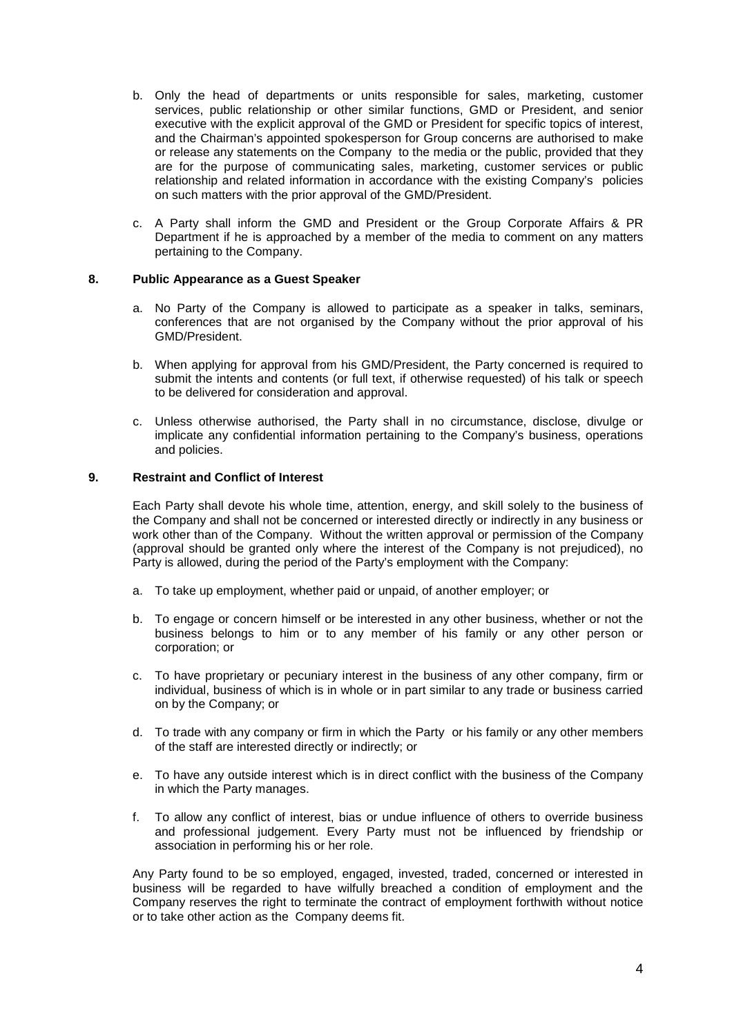- b. Only the head of departments or units responsible for sales, marketing, customer services, public relationship or other similar functions, GMD or President, and senior executive with the explicit approval of the GMD or President for specific topics of interest, and the Chairman's appointed spokesperson for Group concerns are authorised to make or release any statements on the Company to the media or the public, provided that they are for the purpose of communicating sales, marketing, customer services or public relationship and related information in accordance with the existing Company's policies on such matters with the prior approval of the GMD/President.
- c. A Party shall inform the GMD and President or the Group Corporate Affairs & PR Department if he is approached by a member of the media to comment on any matters pertaining to the Company.

#### **8. Public Appearance as a Guest Speaker**

- a. No Party of the Company is allowed to participate as a speaker in talks, seminars, conferences that are not organised by the Company without the prior approval of his GMD/President.
- b. When applying for approval from his GMD/President, the Party concerned is required to submit the intents and contents (or full text, if otherwise requested) of his talk or speech to be delivered for consideration and approval.
- c. Unless otherwise authorised, the Party shall in no circumstance, disclose, divulge or implicate any confidential information pertaining to the Company's business, operations and policies.

### **9. Restraint and Conflict of Interest**

Each Party shall devote his whole time, attention, energy, and skill solely to the business of the Company and shall not be concerned or interested directly or indirectly in any business or work other than of the Company. Without the written approval or permission of the Company (approval should be granted only where the interest of the Company is not prejudiced), no Party is allowed, during the period of the Party's employment with the Company:

- a. To take up employment, whether paid or unpaid, of another employer; or
- b. To engage or concern himself or be interested in any other business, whether or not the business belongs to him or to any member of his family or any other person or corporation; or
- c. To have proprietary or pecuniary interest in the business of any other company, firm or individual, business of which is in whole or in part similar to any trade or business carried on by the Company; or
- d. To trade with any company or firm in which the Party or his family or any other members of the staff are interested directly or indirectly; or
- e. To have any outside interest which is in direct conflict with the business of the Company in which the Party manages.
- f. To allow any conflict of interest, bias or undue influence of others to override business and professional judgement. Every Party must not be influenced by friendship or association in performing his or her role.

Any Party found to be so employed, engaged, invested, traded, concerned or interested in business will be regarded to have wilfully breached a condition of employment and the Company reserves the right to terminate the contract of employment forthwith without notice or to take other action as the Company deems fit.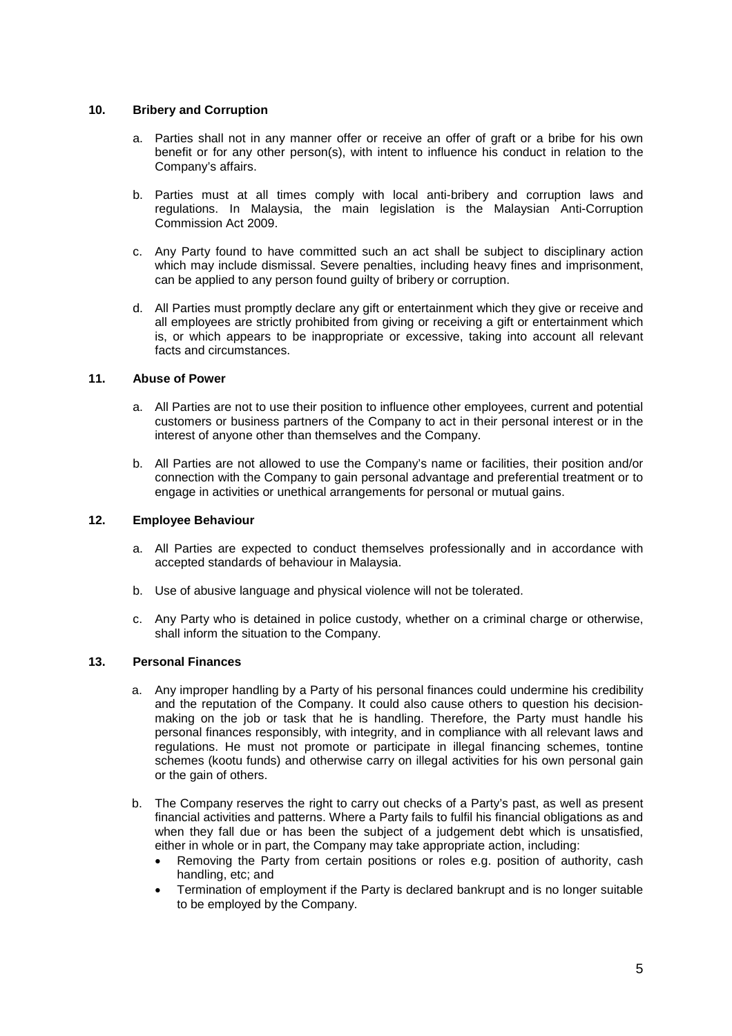### **10. Bribery and Corruption**

- a. Parties shall not in any manner offer or receive an offer of graft or a bribe for his own benefit or for any other person(s), with intent to influence his conduct in relation to the Company's affairs.
- b. Parties must at all times comply with local anti-bribery and corruption laws and regulations. In Malaysia, the main legislation is the Malaysian Anti-Corruption Commission Act 2009.
- c. Any Party found to have committed such an act shall be subject to disciplinary action which may include dismissal. Severe penalties, including heavy fines and imprisonment, can be applied to any person found guilty of bribery or corruption.
- d. All Parties must promptly declare any gift or entertainment which they give or receive and all employees are strictly prohibited from giving or receiving a gift or entertainment which is, or which appears to be inappropriate or excessive, taking into account all relevant facts and circumstances.

#### **11. Abuse of Power**

- a. All Parties are not to use their position to influence other employees, current and potential customers or business partners of the Company to act in their personal interest or in the interest of anyone other than themselves and the Company.
- b. All Parties are not allowed to use the Company's name or facilities, their position and/or connection with the Company to gain personal advantage and preferential treatment or to engage in activities or unethical arrangements for personal or mutual gains.

### **12. Employee Behaviour**

- a. All Parties are expected to conduct themselves professionally and in accordance with accepted standards of behaviour in Malaysia.
- b. Use of abusive language and physical violence will not be tolerated.
- c. Any Party who is detained in police custody, whether on a criminal charge or otherwise, shall inform the situation to the Company.

## **13. Personal Finances**

- a. Any improper handling by a Party of his personal finances could undermine his credibility and the reputation of the Company. It could also cause others to question his decisionmaking on the job or task that he is handling. Therefore, the Party must handle his personal finances responsibly, with integrity, and in compliance with all relevant laws and regulations. He must not promote or participate in illegal financing schemes, tontine schemes (kootu funds) and otherwise carry on illegal activities for his own personal gain or the gain of others.
- b. The Company reserves the right to carry out checks of a Party's past, as well as present financial activities and patterns. Where a Party fails to fulfil his financial obligations as and when they fall due or has been the subject of a judgement debt which is unsatisfied, either in whole or in part, the Company may take appropriate action, including:
	- Removing the Party from certain positions or roles e.g. position of authority, cash handling, etc; and
	- Termination of employment if the Party is declared bankrupt and is no longer suitable to be employed by the Company.